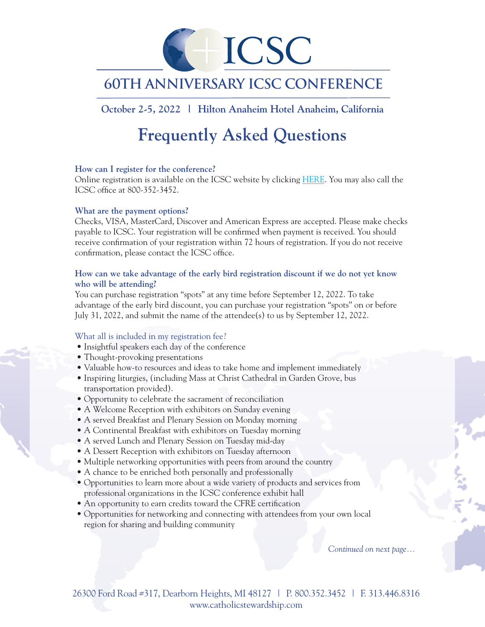

## **60th Anniversary ICSC ConferencE**

### **October 2-5, 2022 | Hilton Anaheim Hotel Anaheim, California**

# **Frequently Asked Questions**

#### **How can I register for the conference?**

Online registration is available on the ICSC website by clickin[g HERE.](https://www.givecentral.org/appeals-form-registration/acp622035ddbcb8c/user/guest) You may also call the ICSC office at 800-352-3452.

#### **What are the payment options?**

Checks, VISA, MasterCard, Discover and American Express are accepted. Please make checks payable to ICSC. Your registration will be confirmed when payment is received. You should receive confirmation of your registration within 72 hours of registration. If you do not receive confirmation, please contact the ICSC office.

#### **How can we take advantage of the early bird registration discount if we do not yet know who will be attending?**

You can purchase registration "spots" at any time before September 12, 2022. To take advantage of the early bird discount, you can purchase your registration "spots" on or before July 31, 2022, and submit the name of the attendee(s) to us by September 12, 2022.

#### What all is included in my registration fee?

- Insightful speakers each day of the conference
- Thought-provoking presentations
- Valuable how-to resources and ideas to take home and implement immediately
- Inspiring liturgies, (including Mass at Christ Cathedral in Garden Grove, bus transportation provided).
- Opportunity to celebrate the sacrament of reconciliation
- A Welcome Reception with exhibitors on Sunday evening
- A served Breakfast and Plenary Session on Monday morning
- A Continental Breakfast with exhibitors on Tuesday morning
- A served Lunch and Plenary Session on Tuesday mid-day
- A Dessert Reception with exhibitors on Tuesday afternoon
- Multiple networking opportunities with peers from around the country
- A chance to be enriched both personally and professionally
- Opportunities to learn more about a wide variety of products and services from professional organizations in the ICSC conference exhibit hall
- An opportunity to earn credits toward the CFRE certification
- Opportunities for networking and connecting with attendees from your own local region for sharing and building community

*Continued on next page...*